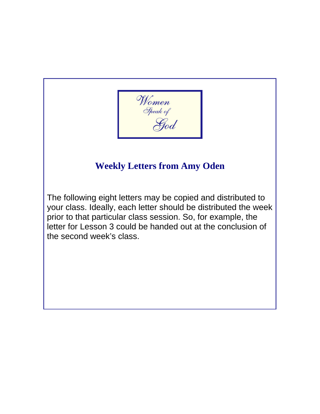

#### **Weekly Letters from Amy Oden**

The following eight letters may be copied and distributed to your class. Ideally, each letter should be distributed the week prior to that particular class session. So, for example, the letter for Lesson 3 could be handed out at the conclusion of the second week's class.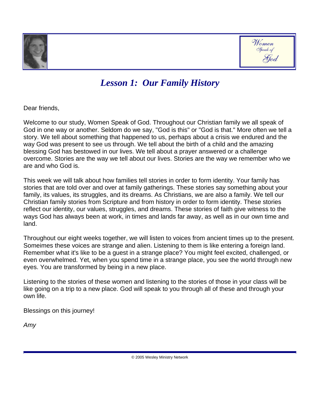



### *Lesson 1: Our Family History*

Dear friends,

Welcome to our study, Women Speak of God. Throughout our Christian family we all speak of God in one way or another. Seldom do we say, "God is this" or "God is that." More often we tell a story. We tell about something that happened to us, perhaps about a crisis we endured and the way God was present to see us through. We tell about the birth of a child and the amazing blessing God has bestowed in our lives. We tell about a prayer answered or a challenge overcome. Stories are the way we tell about our lives. Stories are the way we remember who we are and who God is.

This week we will talk about how families tell stories in order to form identity. Your family has stories that are told over and over at family gatherings. These stories say something about your family, its values, its struggles, and its dreams. As Christians, we are also a family. We tell our Christian family stories from Scripture and from history in order to form identity. These stories reflect our identity, our values, struggles, and dreams. These stories of faith give witness to the ways God has always been at work, in times and lands far away, as well as in our own time and land.

Throughout our eight weeks together, we will listen to voices from ancient times up to the present. Someimes these voices are strange and alien. Listening to them is like entering a foreign land. Remember what it's like to be a guest in a strange place? You might feel excited, challenged, or even overwhelmed. Yet, when you spend time in a strange place, you see the world through new eyes. You are transformed by being in a new place.

Listening to the stories of these women and listening to the stories of those in your class will be like going on a trip to a new place. God will speak to you through all of these and through your own life.

Blessings on this journey!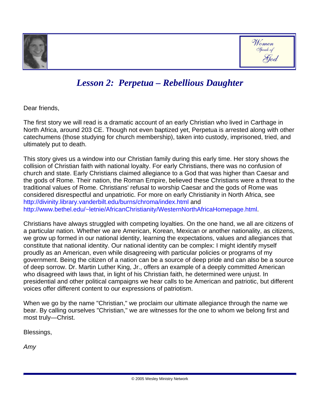



## *Lesson 2: Perpetua – Rebellious Daughter*

Dear friends,

The first story we will read is a dramatic account of an early Christian who lived in Carthage in North Africa, around 203 CE. Though not even baptized yet, Perpetua is arrested along with other catechumens (those studying for church membership), taken into custody, imprisoned, tried, and ultimately put to death.

This story gives us a window into our Christian family during this early time. Her story shows the collision of Christian faith with national loyalty. For early Christians, there was no confusion of church and state. Early Christians claimed allegiance to a God that was higher than Caesar and the gods of Rome. Their nation, the Roman Empire, believed these Christians were a threat to the traditional values of Rome. Christians' refusal to worship Caesar and the gods of Rome was considered disrespectful and unpatriotic. For more on early Christianity in North Africa, see http://divinity.library.vanderbilt.edu/burns/chroma/index.html and http://www.bethel.edu/~letnie/AfricanChristianity/WesternNorthAfricaHomepage.html.

Christians have always struggled with competing loyalties. On the one hand, we all are citizens of a particular nation. Whether we are American, Korean, Mexican or another nationality, as citizens, we grow up formed in our national identity, learning the expectations, values and allegiances that constitute that national identity. Our national identity can be complex: I might identify myself proudly as an American, even while disagreeing with particular policies or programs of my government. Being the citizen of a nation can be a source of deep pride and can also be a source of deep sorrow. Dr. Martin Luther King, Jr., offers an example of a deeply committed American who disagreed with laws that, in light of his Christian faith, he determined were unjust. In presidential and other political campaigns we hear calls to be American and patriotic, but different voices offer different content to our expressions of patriotism.

When we go by the name "Christian," we proclaim our ultimate allegiance through the name we bear. By calling ourselves "Christian," we are witnesses for the one to whom we belong first and most truly—Christ.

Blessings,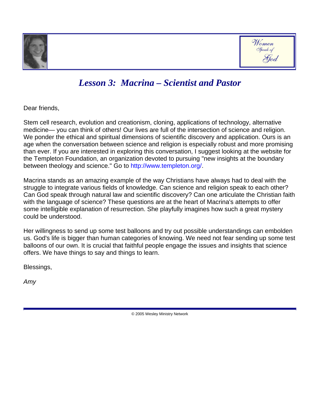



### *Lesson 3: Macrina – Scientist and Pastor*

Dear friends,

Stem cell research, evolution and creationism, cloning, applications of technology, alternative medicine— you can think of others! Our lives are full of the intersection of science and religion. We ponder the ethical and spiritual dimensions of scientific discovery and application. Ours is an age when the conversation between science and religion is especially robust and more promising than ever. If you are interested in exploring this conversation, I suggest looking at the website for the Templeton Foundation, an organization devoted to pursuing "new insights at the boundary between theology and science." Go to http://www.templeton.org/.

Macrina stands as an amazing example of the way Christians have always had to deal with the struggle to integrate various fields of knowledge. Can science and religion speak to each other? Can God speak through natural law and scientific discovery? Can one articulate the Christian faith with the language of science? These questions are at the heart of Macrina's attempts to offer some intelligible explanation of resurrection. She playfully imagines how such a great mystery could be understood.

Her willingness to send up some test balloons and try out possible understandings can embolden us. God's life is bigger than human categories of knowing. We need not fear sending up some test balloons of our own. It is crucial that faithful people engage the issues and insights that science offers. We have things to say and things to learn.

Blessings,

*Amy*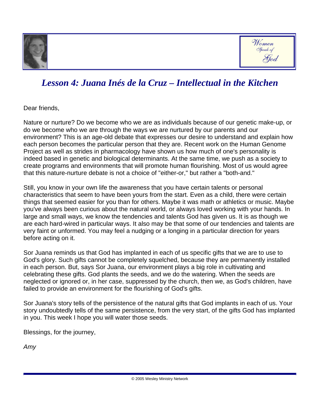



### *Lesson 4: Juana Inés de la Cruz – Intellectual in the Kitchen*

Dear friends,

Nature or nurture? Do we become who we are as individuals because of our genetic make-up, or do we become who we are through the ways we are nurtured by our parents and our environment? This is an age-old debate that expresses our desire to understand and explain how each person becomes the particular person that they are. Recent work on the Human Genome Project as well as strides in pharmacology have shown us how much of one's personality is indeed based in genetic and biological determinants. At the same time, we push as a society to create programs and environments that will promote human flourishing. Most of us would agree that this nature-nurture debate is not a choice of "either-or," but rather a "both-and."

Still, you know in your own life the awareness that you have certain talents or personal characteristics that seem to have been yours from the start. Even as a child, there were certain things that seemed easier for you than for others. Maybe it was math or athletics or music. Maybe you've always been curious about the natural world, or always loved working with your hands. In large and small ways, we know the tendencies and talents God has given us. It is as though we are each hard-wired in particular ways. It also may be that some of our tendencies and talents are very faint or unformed. You may feel a nudging or a longing in a particular direction for years before acting on it.

Sor Juana reminds us that God has implanted in each of us specific gifts that we are to use to God's glory. Such gifts cannot be completely squelched, because they are permanently installed in each person. But, says Sor Juana, our environment plays a big role in cultivating and celebrating these gifts. God plants the seeds, and we do the watering. When the seeds are neglected or ignored or, in her case, suppressed by the church, then we, as God's children, have failed to provide an environment for the flourishing of God's gifts.

Sor Juana's story tells of the persistence of the natural gifts that God implants in each of us. Your story undoubtedly tells of the same persistence, from the very start, of the gifts God has implanted in you. This week I hope you will water those seeds.

Blessings, for the journey,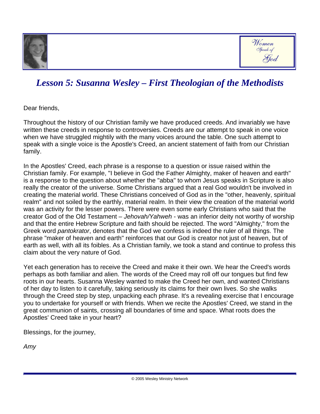



## *Lesson 5: Susanna Wesley – First Theologian of the Methodists*

Dear friends,

Throughout the history of our Christian family we have produced creeds. And invariably we have written these creeds in response to controversies. Creeds are our attempt to speak in one voice when we have struggled mightily with the many voices around the table. One such attempt to speak with a single voice is the Apostle's Creed, an ancient statement of faith from our Christian family.

In the Apostles' Creed, each phrase is a response to a question or issue raised within the Christian family. For example, "I believe in God the Father Almighty, maker of heaven and earth" is a response to the question about whether the "abba" to whom Jesus speaks in Scripture is also really the creator of the universe. Some Christians argued that a real God wouldn't be involved in creating the material world. These Christians conceived of God as in the "other, heavenly, spiritual realm" and not soiled by the earthly, material realm. In their view the creation of the material world was an activity for the lesser powers. There were even some early Christians who said that the creator God of the Old Testament – *Jehovah/Yahweh* - was an inferior deity not worthy of worship and that the entire Hebrew Scripture and faith should be rejected. The word "Almighty," from the Greek word *pantokrator*, denotes that the God we confess is indeed the ruler of all things. The phrase "maker of heaven and earth" reinforces that our God is creator not just of heaven, but of earth as well, with all its foibles. As a Christian family, we took a stand and continue to profess this claim about the very nature of God.

Yet each generation has to receive the Creed and make it their own. We hear the Creed's words perhaps as both familiar and alien. The words of the Creed may roll off our tongues but find few roots in our hearts. Susanna Wesley wanted to make the Creed her own, and wanted Christians of her day to listen to it carefully, taking seriously its claims for their own lives. So she walks through the Creed step by step, unpacking each phrase. It's a revealing exercise that I encourage you to undertake for yourself or with friends. When we recite the Apostles' Creed, we stand in the great communion of saints, crossing all boundaries of time and space. What roots does the Apostles' Creed take in your heart?

Blessings, for the journey,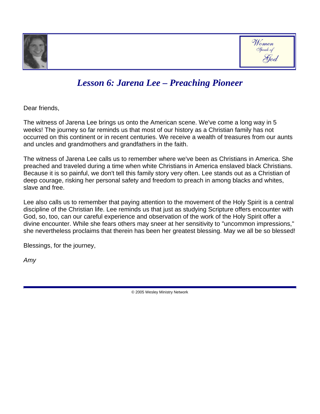



### *Lesson 6: Jarena Lee – Preaching Pioneer*

Dear friends,

The witness of Jarena Lee brings us onto the American scene. We've come a long way in 5 weeks! The journey so far reminds us that most of our history as a Christian family has not occurred on this continent or in recent centuries. We receive a wealth of treasures from our aunts and uncles and grandmothers and grandfathers in the faith.

The witness of Jarena Lee calls us to remember where we've been as Christians in America. She preached and traveled during a time when white Christians in America enslaved black Christians. Because it is so painful, we don't tell this family story very often. Lee stands out as a Christian of deep courage, risking her personal safety and freedom to preach in among blacks and whites, slave and free.

Lee also calls us to remember that paying attention to the movement of the Holy Spirit is a central discipline of the Christian life. Lee reminds us that just as studying Scripture offers encounter with God, so, too, can our careful experience and observation of the work of the Holy Spirit offer a divine encounter. While she fears others may sneer at her sensitivity to "uncommon impressions," she nevertheless proclaims that therein has been her greatest blessing. May we all be so blessed!

Blessings, for the journey,

*Amy*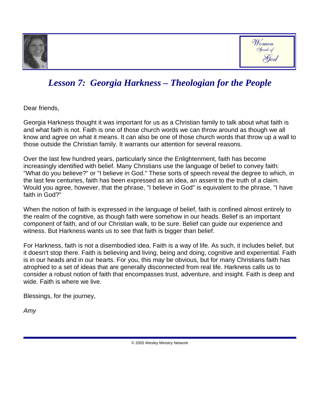



## *Lesson 7: Georgia Harkness – Theologian for the People*

Dear friends,

Georgia Harkness thought it was important for us as a Christian family to talk about what faith is and what faith is not. Faith is one of those church words we can throw around as though we all know and agree on what it means. It can also be one of those church words that throw up a wall to those outside the Christian family. It warrants our attention for several reasons.

Over the last few hundred years, particularly since the Enlightenment, faith has become increasingly identified with belief. Many Christians use the language of belief to convey faith: "What do you believe?" or "I believe in God." These sorts of speech reveal the degree to which, in the last few centuries, faith has been expressed as an idea, an assent to the truth of a claim. Would you agree, however, that the phrase, "I believe in God" is equivalent to the phrase, "I have faith in God?"

When the notion of faith is expressed in the language of belief, faith is confined almost entirely to the realm of the cognitive, as though faith were somehow in our heads. Belief is an important component of faith, and of our Christian walk, to be sure. Belief can guide our experience and witness. But Harkness wants us to see that faith is bigger than belief.

For Harkness, faith is not a disembodied idea. Faith is a way of life. As such, it includes belief, but it doesn't stop there. Faith is believing and living, being and doing, cognitive and experiential. Faith is in our heads and in our hearts. For you, this may be obvious, but for many Christians faith has atrophied to a set of ideas that are generally disconnected from real life. Harkness calls us to consider a robust notion of faith that encompasses trust, adventure, and insight. Faith is deep and wide. Faith is where we live.

Blessings, for the journey,

*Amy*